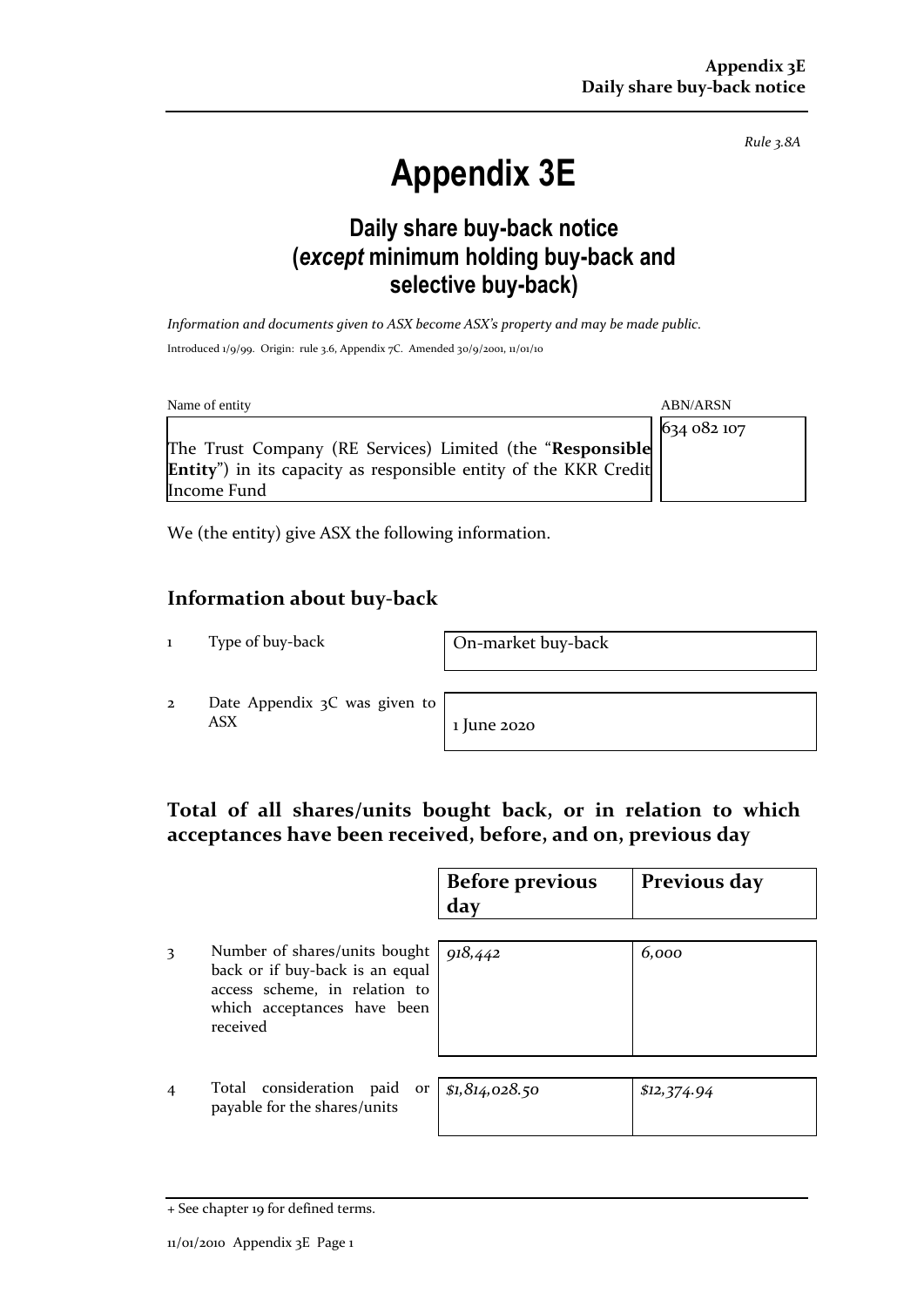*Rule 3.8A*

# **Appendix 3E**

# **Daily share buy-back notice (***except* **minimum holding buy-back and selective buy-back)**

*Information and documents given to ASX become ASX's property and may be made public.* Introduced 1/9/99. Origin: rule 3.6, Appendix 7C. Amended 30/9/2001, 11/01/10

| Name of entity                                                           | <b>ABN/ARSN</b> |
|--------------------------------------------------------------------------|-----------------|
|                                                                          | 634 082 107     |
| The Trust Company (RE Services) Limited (the "Responsible                |                 |
| <b>Entity</b> ") in its capacity as responsible entity of the KKR Credit |                 |
| Income Fund                                                              |                 |

We (the entity) give ASX the following information.

### **Information about buy-back**

1 Type of buy-back On-market buy-back

2 Date Appendix 3C was given to  $\overline{ABX}$  1 June 2020

## **Total of all shares/units bought back, or in relation to which acceptances have been received, before, and on, previous day**

|                                                                                                                                              | <b>Before previous</b><br>day | Previous day |
|----------------------------------------------------------------------------------------------------------------------------------------------|-------------------------------|--------------|
| Number of shares/units bought<br>back or if buy-back is an equal<br>access scheme, in relation to<br>which acceptances have been<br>received | 918,442                       | 6,000        |
| Total consideration<br>paid<br>or<br>payable for the shares/units                                                                            | \$1,814,028.50                | \$12,374.94  |

<sup>+</sup> See chapter 19 for defined terms.